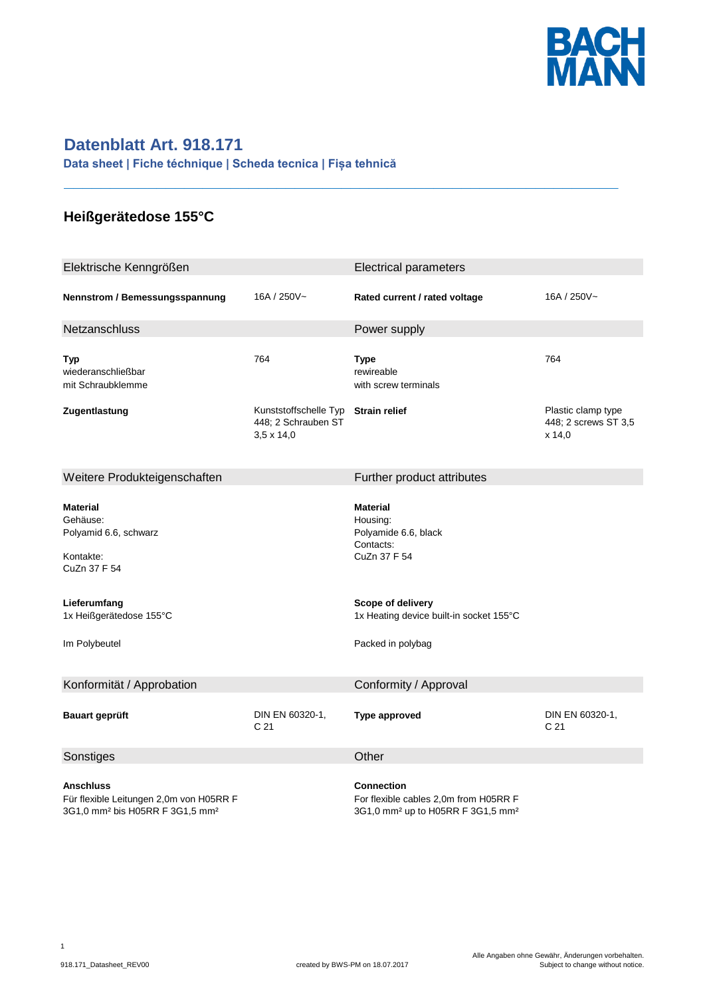

## **Datenblatt Art. 918.171**

**Data sheet | Fiche téchnique | Scheda tecnica | Fișa tehnică**

## **Heißgerätedose 155°C**

| Elektrische Kenngrößen                                                                                                       |                                                                   | <b>Electrical parameters</b>                                                                                                                     |                                                      |
|------------------------------------------------------------------------------------------------------------------------------|-------------------------------------------------------------------|--------------------------------------------------------------------------------------------------------------------------------------------------|------------------------------------------------------|
| Nennstrom / Bemessungsspannung                                                                                               | 16A / 250V~                                                       | Rated current / rated voltage                                                                                                                    | 16A / 250V~                                          |
| Netzanschluss                                                                                                                |                                                                   | Power supply                                                                                                                                     |                                                      |
| <b>Typ</b><br>wiederanschließbar<br>mit Schraubklemme                                                                        | 764                                                               | Type<br>rewireable<br>with screw terminals                                                                                                       | 764                                                  |
| Zugentlastung                                                                                                                | Kunststoffschelle Typ<br>448; 2 Schrauben ST<br>$3,5 \times 14,0$ | <b>Strain relief</b>                                                                                                                             | Plastic clamp type<br>448; 2 screws ST 3,5<br>x 14,0 |
| Weitere Produkteigenschaften                                                                                                 |                                                                   | Further product attributes                                                                                                                       |                                                      |
| <b>Material</b><br>Gehäuse:<br>Polyamid 6.6, schwarz<br>Kontakte:<br>CuZn 37 F 54<br>Lieferumfang<br>1x Heißgerätedose 155°C |                                                                   | <b>Material</b><br>Housing:<br>Polyamide 6.6, black<br>Contacts:<br>CuZn 37 F 54<br>Scope of delivery<br>1x Heating device built-in socket 155°C |                                                      |
| Im Polybeutel                                                                                                                |                                                                   | Packed in polybag                                                                                                                                |                                                      |
| Konformität / Approbation                                                                                                    |                                                                   | Conformity / Approval                                                                                                                            |                                                      |
| <b>Bauart geprüft</b>                                                                                                        | DIN EN 60320-1,<br>C <sub>21</sub>                                | <b>Type approved</b>                                                                                                                             | DIN EN 60320-1,<br>C <sub>21</sub>                   |
| Sonstiges                                                                                                                    |                                                                   | Other                                                                                                                                            |                                                      |
| <b>Anschluss</b><br>Für flexible Leitungen 2,0m von H05RR F<br>3G1,0 mm <sup>2</sup> bis H05RR F 3G1,5 mm <sup>2</sup>       |                                                                   | Connection<br>For flexible cables 2,0m from H05RR F<br>3G1,0 mm <sup>2</sup> up to H05RR F 3G1,5 mm <sup>2</sup>                                 |                                                      |

**\_\_\_\_\_\_\_\_\_\_\_\_\_\_\_\_\_\_\_\_\_\_\_\_\_\_\_\_\_\_\_\_\_\_\_\_\_\_\_\_\_\_\_\_\_\_\_\_\_\_\_\_\_\_\_\_\_\_\_\_**

1